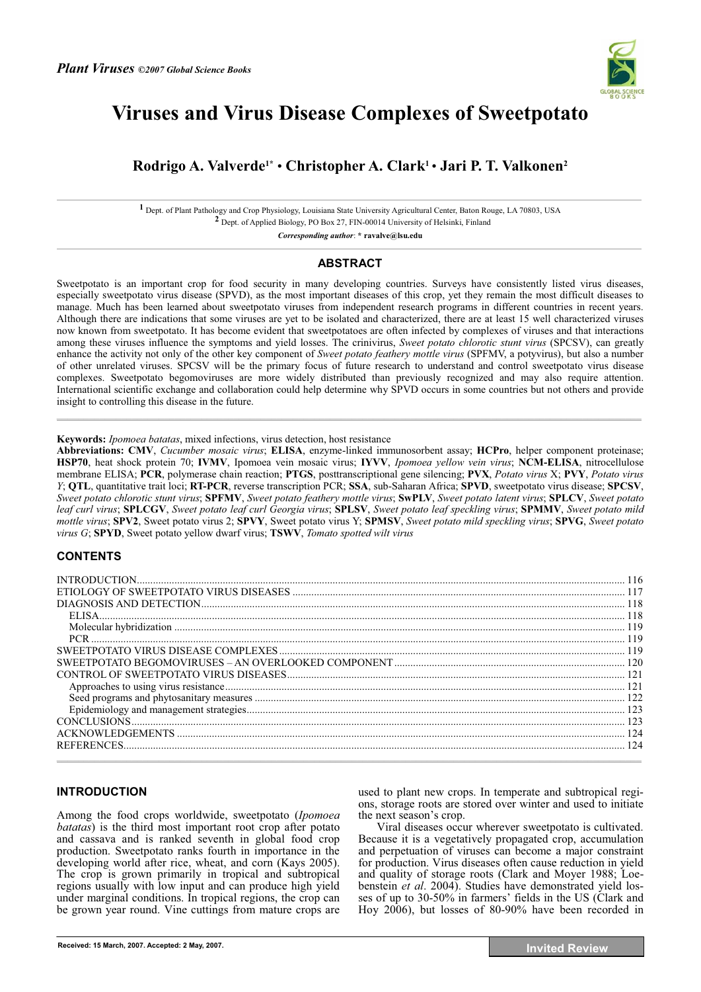

# **Viruses and Virus Disease Complexes of Sweetpotato**

# **Rodrigo A. Valverde1\*** • **Christopher A. Clark1** • **Jari P. T. Valkonen2**

**1** Dept. of Plant Pathology and Crop Physiology, Louisiana State University Agricultural Center, Baton Rouge, LA 70803, USA **2** Dept. of Applied Biology, PO Box 27, FIN-00014 University of Helsinki, Finland

*Corresponding author*: **\* ravalve@lsu.edu** 

# **ABSTRACT**

Sweetpotato is an important crop for food security in many developing countries. Surveys have consistently listed virus diseases, especially sweetpotato virus disease (SPVD), as the most important diseases of this crop, yet they remain the most difficult diseases to manage. Much has been learned about sweetpotato viruses from independent research programs in different countries in recent years. Although there are indications that some viruses are yet to be isolated and characterized, there are at least 15 well characterized viruses now known from sweetpotato. It has become evident that sweetpotatoes are often infected by complexes of viruses and that interactions among these viruses influence the symptoms and yield losses. The crinivirus, *Sweet potato chlorotic stunt virus* (SPCSV), can greatly enhance the activity not only of the other key component of *Sweet potato feathery mottle virus* (SPFMV, a potyvirus), but also a number of other unrelated viruses. SPCSV will be the primary focus of future research to understand and control sweetpotato virus disease complexes. Sweetpotato begomoviruses are more widely distributed than previously recognized and may also require attention. International scientific exchange and collaboration could help determine why SPVD occurs in some countries but not others and provide insight to controlling this disease in the future.

 $\mathcal{L} = \{ \mathcal{L} = \{ \mathcal{L} = \{ \mathcal{L} = \{ \mathcal{L} = \{ \mathcal{L} = \{ \mathcal{L} = \{ \mathcal{L} = \{ \mathcal{L} = \{ \mathcal{L} = \{ \mathcal{L} = \{ \mathcal{L} = \{ \mathcal{L} = \{ \mathcal{L} = \{ \mathcal{L} = \{ \mathcal{L} = \{ \mathcal{L} = \{ \mathcal{L} = \{ \mathcal{L} = \{ \mathcal{L} = \{ \mathcal{L} = \{ \mathcal{L} = \{ \mathcal{L} = \{ \mathcal{L} = \{ \mathcal{$ 

**Keywords:** *Ipomoea batatas*, mixed infections, virus detection, host resistance

**Abbreviations: CMV**, *Cucumber mosaic virus*; **ELISA**, enzyme-linked immunosorbent assay; **HCPro**, helper component proteinase; **HSP70**, heat shock protein 70; **IVMV**, Ipomoea vein mosaic virus; **IYVV**, *Ipomoea yellow vein virus*; **NCM-ELISA**, nitrocellulose membrane ELISA; **PCR**, polymerase chain reaction; **PTGS**, posttranscriptional gene silencing; **PVX**, *Potato virus* X; **PVY**, *Potato virus Y*; **QTL**, quantitative trait loci; **RT-PCR**, reverse transcription PCR; **SSA**, sub-Saharan Africa; **SPVD**, sweetpotato virus disease; **SPCSV**, *Sweet potato chlorotic stunt virus*; **SPFMV**, *Sweet potato feathery mottle virus*; **SwPLV**, *Sweet potato latent virus*; **SPLCV**, *Sweet potato leaf curl virus*; **SPLCGV**, *Sweet potato leaf curl Georgia virus*; **SPLSV**, *Sweet potato leaf speckling virus*; **SPMMV**, *Sweet potato mild mottle virus*; **SPV2**, Sweet potato virus 2; **SPVY**, Sweet potato virus Y; **SPMSV**, *Sweet potato mild speckling virus*; **SPVG**, *Sweet potato virus G*; **SPYD**, Sweet potato yellow dwarf virus; **TSWV**, *Tomato spotted wilt virus*

# **CONTENTS**

| SWEETPOTATO BEGOMOVIRUSES – AN OVERLOOKED COMPONENT …………………………………………………………………………… 120 |     |
|---------------------------------------------------------------------------------------|-----|
|                                                                                       |     |
|                                                                                       |     |
|                                                                                       |     |
|                                                                                       |     |
|                                                                                       |     |
|                                                                                       |     |
|                                                                                       | 124 |
|                                                                                       |     |

# **INTRODUCTION**

Among the food crops worldwide, sweetpotato (*Ipomoea batatas*) is the third most important root crop after potato and cassava and is ranked seventh in global food crop production. Sweetpotato ranks fourth in importance in the developing world after rice, wheat, and corn (Kays 2005). The crop is grown primarily in tropical and subtropical regions usually with low input and can produce high yield under marginal conditions. In tropical regions, the crop can be grown year round. Vine cuttings from mature crops are used to plant new crops. In temperate and subtropical regions, storage roots are stored over winter and used to initiate the next season's crop.

Viral diseases occur wherever sweetpotato is cultivated. Because it is a vegetatively propagated crop, accumulation and perpetuation of viruses can become a major constraint for production. Virus diseases often cause reduction in yield and quality of storage roots (Clark and Moyer 1988; Loebenstein *et al*. 2004). Studies have demonstrated yield losses of up to 30-50% in farmers' fields in the US (Clark and Hoy 2006), but losses of 80-90% have been recorded in

**Received: 15 March, 2007. Accepted: 2 May, 2007. Invited Review**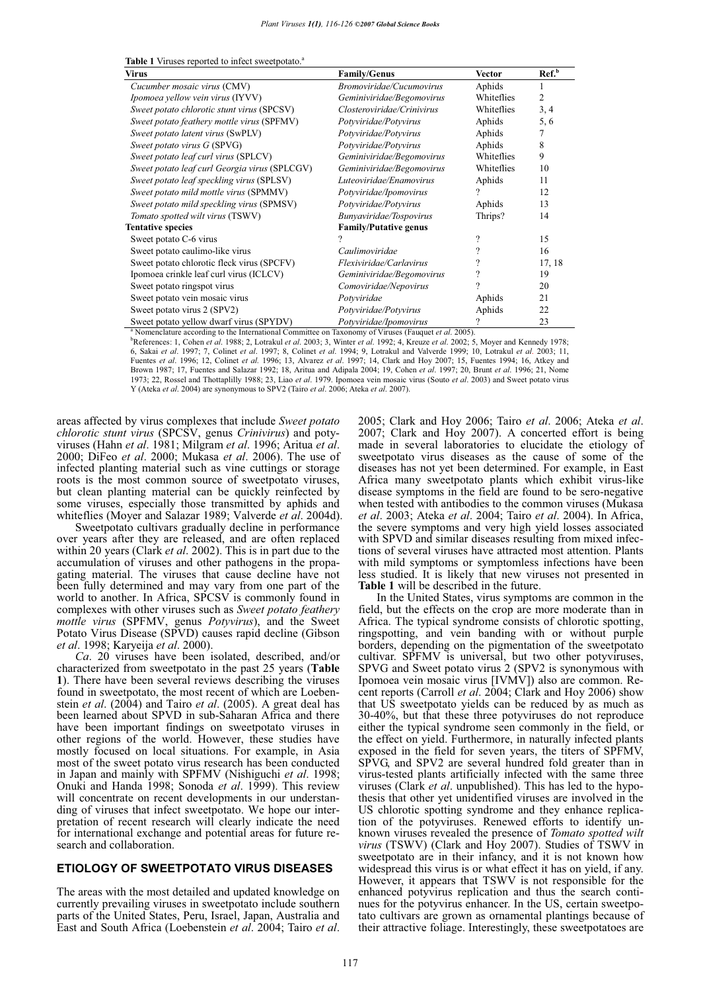| <b>Virus</b>                                  | <b>Family/Genus</b>        | <b>Vector</b> | Ref. <sup>b</sup> |
|-----------------------------------------------|----------------------------|---------------|-------------------|
| Cucumber mosaic virus (CMV)                   | Bromoviridae/Cucumovirus   | Aphids        |                   |
| <i>Ipomoea yellow vein virus</i> (IYVV)       | Geminiviridae/Begomovirus  | Whiteflies    | 2                 |
| Sweet potato chlorotic stunt virus (SPCSV)    | Closteroviridae/Crinivirus | Whiteflies    | 3, 4              |
| Sweet potato feathery mottle virus (SPFMV)    | Potyviridae/Potyvirus      | Aphids        | 5,6               |
| Sweet potato latent virus (SwPLV)             | Potyviridae/Potyvirus      | Aphids        |                   |
| Sweet potato virus G (SPVG)                   | Potyviridae/Potyvirus      | Aphids        | 8                 |
| Sweet potato leaf curl virus (SPLCV)          | Geminiviridae/Begomovirus  | Whiteflies    | 9                 |
| Sweet potato leaf curl Georgia virus (SPLCGV) | Geminiviridae/Begomovirus  | Whiteflies    | 10                |
| Sweet potato leaf speckling virus (SPLSV)     | Luteoviridae/Enamovirus    | Aphids        | 11                |
| Sweet potato mild mottle virus (SPMMV)        | Potyviridae/Ipomovirus     | ?             | 12                |
| Sweet potato mild speckling virus (SPMSV)     | Potyviridae/Potyvirus      | Aphids        | 13                |
| Tomato spotted wilt virus (TSWV)              | Bunyaviridae/Tospovirus    | Thrips?       | 14                |
| <b>Tentative species</b>                      | Family/Putative genus      |               |                   |
| Sweet potato C-6 virus                        |                            |               | 15                |
| Sweet potato caulimo-like virus               | Caulimoviridae             | 9             | 16                |
| Sweet potato chlorotic fleck virus (SPCFV)    | Flexiviridae/Carlavirus    | ?             | 17, 18            |
| Ipomoea crinkle leaf curl virus (ICLCV)       | Geminiviridae/Begomovirus  |               | 19                |
| Sweet potato ringspot virus                   | Comoviridae/Nepovirus      | 9             | 20                |
| Sweet potato vein mosaic virus                | Potyviridae                | Aphids        | 2.1               |
| Sweet potato virus 2 (SPV2)                   | Potyviridae/Potyvirus      | Aphids        | 22                |
| Sweet potato yellow dwarf virus (SPYDV)       | Potyviridae/Ipomovirus     | 9             | 23                |

**Table 1** Viruses reported to infect sweetpotato.<sup>4</sup>

<sup>a</sup> Nomenclature according to the International Committee on Taxonomy of Viruses (Fauguet et al. 2005) <sup>a</sup> Nomenclature according to the International Committee on Taxonomy of Viruses (Fauquet *et al.* 2005).<br><sup>b</sup>References: 1, Cohen *et al.* 1988; 2, Lotrakul *et al.* 2003; 3, Winter *et al.* 1992; 4, Kreuze *et al.* 2002;

6, Sakai et al. 1997; 7, Colinet et al. 1997; 8, Colinet et al. 1994; 9, Lotrakul and Valverde 1999; 10, Lotrakul et al. 2003; 11, Fuentes et al. 1996; 12, Colinet et al. 1996; 13, Alvarez et al. 1997; 14, Clark and Hoy 20 Brown 1987; 17, Fuentes and Salazar 1992; 18, Aritua and Adipala 2004; 19, Cohen *et al*. 1997; 20, Brunt *et al*. 1996; 21, Nome 1973; 22, Rossel and Thottaplilly 1988; 23, Liao *et al*. 1979. Ipomoea vein mosaic virus (Souto *et al*. 2003) and Sweet potato virus Y (Ateka *et al*. 2004) are synonymous to SPV2 (Tairo *et al*. 2006; Ateka *et al*. 2007).

areas affected by virus complexes that include *Sweet potato chlorotic stunt virus* (SPCSV, genus *Crinivirus*) and potyviruses (Hahn *et al*. 1981; Milgram *et al*. 1996; Aritua *et al*. 2000; DiFeo *et al*. 2000; Mukasa *et al*. 2006). The use of infected planting material such as vine cuttings or storage roots is the most common source of sweetpotato viruses, but clean planting material can be quickly reinfected by some viruses, especially those transmitted by aphids and whiteflies (Moyer and Salazar 1989; Valverde *et al*. 2004d).

Sweetpotato cultivars gradually decline in performance over years after they are released, and are often replaced within 20 years (Clark *et al*. 2002). This is in part due to the accumulation of viruses and other pathogens in the propagating material. The viruses that cause decline have not been fully determined and may vary from one part of the world to another. In Africa, SPCSV is commonly found in complexes with other viruses such as *Sweet potato feathery mottle virus* (SPFMV, genus *Potyvirus*), and the Sweet Potato Virus Disease (SPVD) causes rapid decline (Gibson *et al*. 1998; Karyeija *et al*. 2000).

*Ca*. 20 viruses have been isolated, described, and/or characterized from sweetpotato in the past 25 years (**Table 1**). There have been several reviews describing the viruses found in sweetpotato, the most recent of which are Loebenstein *et al*. (2004) and Tairo *et al*. (2005). A great deal has been learned about SPVD in sub-Saharan Africa and there have been important findings on sweetpotato viruses in other regions of the world. However, these studies have mostly focused on local situations. For example, in Asia most of the sweet potato virus research has been conducted in Japan and mainly with SPFMV (Nishiguchi *et al*. 1998; Onuki and Handa 1998; Sonoda *et al*. 1999). This review will concentrate on recent developments in our understanding of viruses that infect sweetpotato. We hope our interpretation of recent research will clearly indicate the need for international exchange and potential areas for future research and collaboration.

#### **ETIOLOGY OF SWEETPOTATO VIRUS DISEASES**

The areas with the most detailed and updated knowledge on currently prevailing viruses in sweetpotato include southern parts of the United States, Peru, Israel, Japan, Australia and East and South Africa (Loebenstein *et al*. 2004; Tairo *et al*.

2005; Clark and Hoy 2006; Tairo *et al*. 2006; Ateka *et al*. 2007; Clark and Hoy 2007). A concerted effort is being made in several laboratories to elucidate the etiology of sweetpotato virus diseases as the cause of some of the diseases has not yet been determined. For example, in East Africa many sweetpotato plants which exhibit virus-like disease symptoms in the field are found to be sero-negative when tested with antibodies to the common viruses (Mukasa *et al*. 2003; Ateka *et al*. 2004; Tairo *et al*. 2004). In Africa, the severe symptoms and very high yield losses associated with SPVD and similar diseases resulting from mixed infections of several viruses have attracted most attention. Plants with mild symptoms or symptomless infections have been less studied. It is likely that new viruses not presented in **Table 1** will be described in the future.

In the United States, virus symptoms are common in the field, but the effects on the crop are more moderate than in Africa. The typical syndrome consists of chlorotic spotting, ringspotting, and vein banding with or without purple borders, depending on the pigmentation of the sweetpotato cultivar. SPFMV is universal, but two other potyviruses, SPVG and Sweet potato virus 2 (SPV2 is synonymous with Ipomoea vein mosaic virus [IVMV]) also are common. Recent reports (Carroll *et al*. 2004; Clark and Hoy 2006) show that US sweetpotato yields can be reduced by as much as 30-40%, but that these three potyviruses do not reproduce either the typical syndrome seen commonly in the field, or the effect on yield. Furthermore, in naturally infected plants exposed in the field for seven years, the titers of SPFMV, SPVG, and SPV2 are several hundred fold greater than in virus-tested plants artificially infected with the same three viruses (Clark *et al*. unpublished). This has led to the hypothesis that other yet unidentified viruses are involved in the US chlorotic spotting syndrome and they enhance replication of the potyviruses. Renewed efforts to identify unknown viruses revealed the presence of *Tomato spotted wilt virus* (TSWV) (Clark and Hoy 2007). Studies of TSWV in sweetpotato are in their infancy, and it is not known how widespread this virus is or what effect it has on yield, if any. However, it appears that TSWV is not responsible for the enhanced potyvirus replication and thus the search continues for the potyvirus enhancer. In the US, certain sweetpotato cultivars are grown as ornamental plantings because of their attractive foliage. Interestingly, these sweetpotatoes are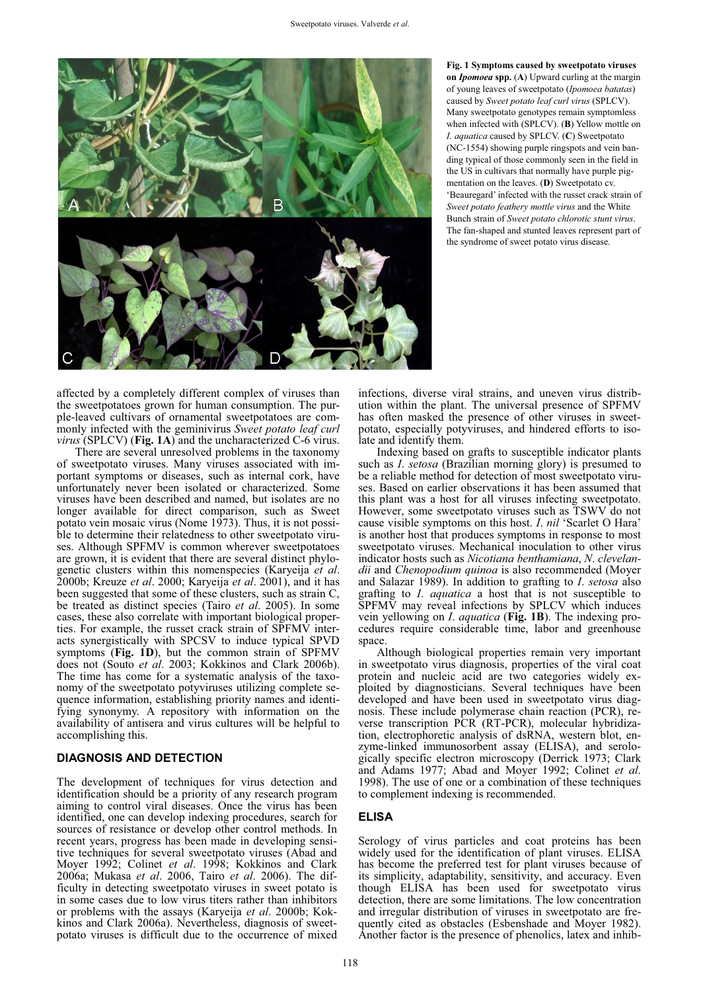

**Fig. 1 Symptoms caused by sweetpotato viruses on** *Ipomoea* **spp.** (**A**) Upward curling at the margin of young leaves of sweetpotato (*Ipomoea batatas*) caused by *Sweet potato leaf curl virus* (SPLCV). Many sweetpotato genotypes remain symptomless when infected with (SPLCV). (**B**) Yellow mottle on *I. aquatica* caused by SPLCV. (**C**) Sweetpotato (NC-1554) showing purple ringspots and vein banding typical of those commonly seen in the field in the US in cultivars that normally have purple pigmentation on the leaves. (**D**) Sweetpotato cv. 'Beauregard' infected with the russet crack strain of *Sweet potato feathery mottle virus* and the White Bunch strain of *Sweet potato chlorotic stunt virus*. The fan-shaped and stunted leaves represent part of the syndrome of sweet potato virus disease.

affected by a completely different complex of viruses than the sweetpotatoes grown for human consumption. The purple-leaved cultivars of ornamental sweetpotatoes are commonly infected with the geminivirus *Sweet potato leaf curl virus* (SPLCV) (**Fig. 1A**) and the uncharacterized C-6 virus.

There are several unresolved problems in the taxonomy of sweetpotato viruses. Many viruses associated with important symptoms or diseases, such as internal cork, have unfortunately never been isolated or characterized. Some viruses have been described and named, but isolates are no longer available for direct comparison, such as Sweet potato vein mosaic virus (Nome 1973). Thus, it is not possible to determine their relatedness to other sweetpotato viruses. Although SPFMV is common wherever sweetpotatoes are grown, it is evident that there are several distinct phylogenetic clusters within this nomenspecies (Karyeija *et al*. 2000b; Kreuze *et al*. 2000; Karyeija *et al*. 2001), and it has been suggested that some of these clusters, such as strain C, be treated as distinct species (Tairo *et al*. 2005). In some cases, these also correlate with important biological properties. For example, the russet crack strain of SPFMV interacts synergistically with SPCSV to induce typical SPVD symptoms (**Fig. 1D**), but the common strain of SPFMV does not (Souto *et al*. 2003; Kokkinos and Clark 2006b). The time has come for a systematic analysis of the taxonomy of the sweetpotato potyviruses utilizing complete sequence information, establishing priority names and identifying synonymy. A repository with information on the availability of antisera and virus cultures will be helpful to accomplishing this.

# **DIAGNOSIS AND DETECTION**

The development of techniques for virus detection and identification should be a priority of any research program aiming to control viral diseases. Once the virus has been identified, one can develop indexing procedures, search for sources of resistance or develop other control methods. In recent years, progress has been made in developing sensitive techniques for several sweetpotato viruses (Abad and Moyer 1992; Colinet et al. 1998; Kokkinos and Clark 2006a; Mukasa *et al*. 2006, Tairo *et al*. 2006). The difficulty in detecting sweetpotato viruses in sweet potato is in some cases due to low virus titers rather than inhibitors or problems with the assays (Karyeija *et al*. 2000b; Kokkinos and Clark 2006a). Nevertheless, diagnosis of sweetpotato viruses is difficult due to the occurrence of mixed infections, diverse viral strains, and uneven virus distribution within the plant. The universal presence of SPFMV has often masked the presence of other viruses in sweetpotato, especially potyviruses, and hindered efforts to isolate and identify them.

Indexing based on grafts to susceptible indicator plants such as *I*. *setosa* (Brazilian morning glory) is presumed to be a reliable method for detection of most sweetpotato viruses. Based on earlier observations it has been assumed that this plant was a host for all viruses infecting sweetpotato. However, some sweetpotato viruses such as TSWV do not cause visible symptoms on this host. *I*. *nil* 'Scarlet O Hara' is another host that produces symptoms in response to most sweetpotato viruses. Mechanical inoculation to other virus indicator hosts such as *Nicotiana benthamiana*, *N*. *clevelandii* and *Chenopodium quinoa* is also recommended (Moyer and Salazar 1989). In addition to grafting to *I*. *setosa* also grafting to *I*. *aquatica* a host that is not susceptible to SPFMV may reveal infections by SPLCV which induces vein yellowing on *I*. *aquatica* (**Fig. 1B**). The indexing procedures require considerable time, labor and greenhouse space.

Although biological properties remain very important in sweetpotato virus diagnosis, properties of the viral coat protein and nucleic acid are two categories widely exploited by diagnosticians. Several techniques have been developed and have been used in sweetpotato virus diagnosis. These include polymerase chain reaction (PCR), reverse transcription PCR (RT-PCR), molecular hybridization, electrophoretic analysis of dsRNA, western blot, enzyme-linked immunosorbent assay (ELISA), and serologically specific electron microscopy (Derrick 1973; Clark and Adams 1977; Abad and Mover 1992; Colinet et al. 1998). The use of one or a combination of these techniques to complement indexing is recommended.

# **ELISA**

Serology of virus particles and coat proteins has been widely used for the identification of plant viruses. ELISA has become the preferred test for plant viruses because of its simplicity, adaptability, sensitivity, and accuracy. Even though ELISA has been used for sweetpotato virus detection, there are some limitations. The low concentration and irregular distribution of viruses in sweetpotato are frequently cited as obstacles (Esbenshade and Moyer 1982). Another factor is the presence of phenolics, latex and inhib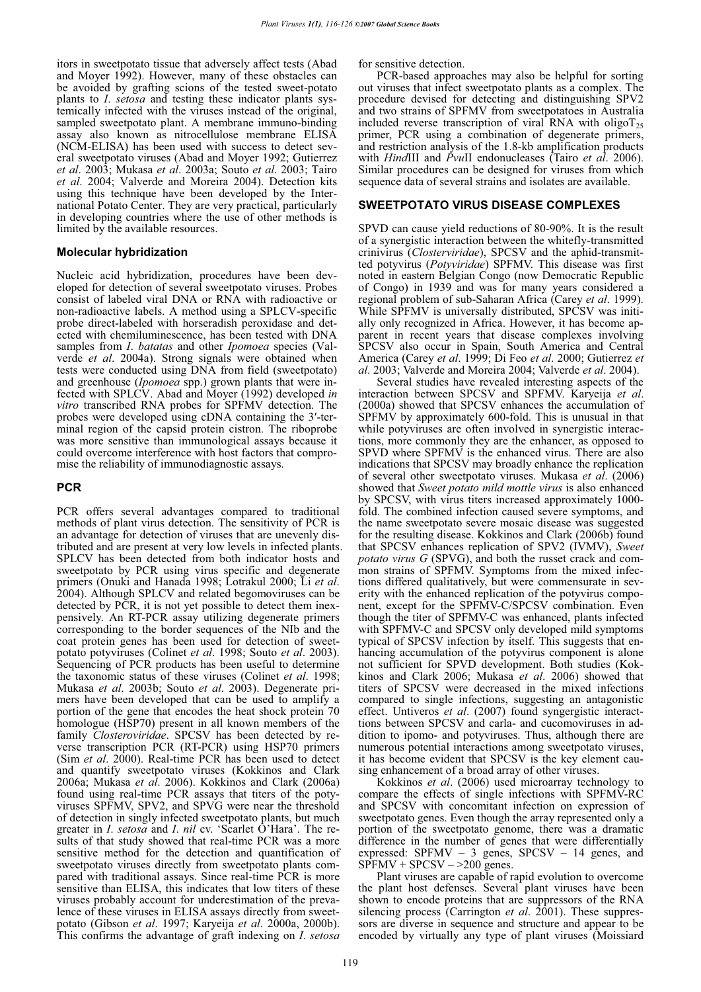itors in sweetpotato tissue that adversely affect tests (Abad and Moyer 1992). However, many of these obstacles can be avoided by grafting scions of the tested sweet-potato plants to *I*. *setosa* and testing these indicator plants systemically infected with the viruses instead of the original, sampled sweetpotato plant. A membrane immuno-binding assay also known as nitrocellulose membrane ELISA (NCM-ELISA) has been used with success to detect several sweetpotato viruses (Abad and Moyer 1992; Gutierrez *et al*. 2003; Mukasa *et al*. 2003a; Souto *et al*. 2003; Tairo *et al*. 2004; Valverde and Moreira 2004). Detection kits using this technique have been developed by the International Potato Center. They are very practical, particularly in developing countries where the use of other methods is limited by the available resources.

# **Molecular hybridization**

Nucleic acid hybridization, procedures have been developed for detection of several sweetpotato viruses. Probes consist of labeled viral DNA or RNA with radioactive or non-radioactive labels. A method using a SPLCV-specific probe direct-labeled with horseradish peroxidase and detected with chemiluminescence, has been tested with DNA samples from *I*. *batatas* and other *Ipomoea* species (Valverde *et al*. 2004a). Strong signals were obtained when tests were conducted using DNA from field (sweetpotato) and greenhouse (*Ipomoea* spp.) grown plants that were infected with SPLCV. Abad and Moyer (1992) developed *in vitro* transcribed RNA probes for SPFMV detection. The probes were developed using cDNA containing the 3'-terminal region of the capsid protein cistron. The riboprobe was more sensitive than immunological assays because it could overcome interference with host factors that compromise the reliability of immunodiagnostic assays.

# **PCR**

PCR offers several advantages compared to traditional methods of plant virus detection. The sensitivity of PCR is an advantage for detection of viruses that are unevenly distributed and are present at very low levels in infected plants. SPLCV has been detected from both indicator hosts and sweetpotato by PCR using virus specific and degenerate primers (Onuki and Hanada 1998; Lotrakul 2000; Li *et al*. 2004). Although SPLCV and related begomoviruses can be detected by PCR, it is not yet possible to detect them inexpensively. An RT-PCR assay utilizing degenerate primers corresponding to the border sequences of the NIb and the coat protein genes has been used for detection of sweetpotato potyviruses (Colinet *et al*. 1998; Souto *et al*. 2003). Sequencing of PCR products has been useful to determine the taxonomic status of these viruses (Colinet *et al*. 1998; Mukasa *et al*. 2003b; Souto *et al*. 2003). Degenerate primers have been developed that can be used to amplify a portion of the gene that encodes the heat shock protein 70 homologue (HSP70) present in all known members of the family *Closteroviridae*. SPCSV has been detected by reverse transcription PCR (RT-PCR) using HSP70 primers (Sim *et al*. 2000). Real-time PCR has been used to detect and quantify sweetpotato viruses (Kokkinos and Clark 2006a; Mukasa *et al*. 2006). Kokkinos and Clark (2006a) found using real-time PCR assays that titers of the potyviruses SPFMV, SPV2, and SPVG were near the threshold of detection in singly infected sweetpotato plants, but much greater in *I. setosa* and *I. nil* cv. 'Scarlet O'Hara'. The results of that study showed that real-time PCR was a more sensitive method for the detection and quantification of sweetpotato viruses directly from sweetpotato plants compared with traditional assays. Since real-time PCR is more sensitive than ELISA, this indicates that low titers of these viruses probably account for underestimation of the prevalence of these viruses in ELISA assays directly from sweetpotato (Gibson *et al*. 1997; Karyeija *et al*. 2000a, 2000b). This confirms the advantage of graft indexing on *I*. *setosa*

for sensitive detection.

PCR-based approaches may also be helpful for sorting out viruses that infect sweetpotato plants as a complex. The procedure devised for detecting and distinguishing SPV2 and two strains of SPFMV from sweetpotatoes in Australia included reverse transcription of viral RNA with oligoT<sub>25</sub> primer, PCR using a combination of degenerate primers, and restriction analysis of the 1.8-kb amplification products with *Hind*III and *Pvu*II endonucleases (Tairo *et al*. 2006). Similar procedures can be designed for viruses from which sequence data of several strains and isolates are available.

#### **SWEETPOTATO VIRUS DISEASE COMPLEXES**

SPVD can cause yield reductions of 80-90%. It is the result of a synergistic interaction between the whitefly-transmitted crinivirus (*Closterviridae*), SPCSV and the aphid-transmitted potyvirus (*Potyviridae*) SPFMV. This disease was first noted in eastern Belgian Congo (now Democratic Republic of Congo) in 1939 and was for many years considered a regional problem of sub-Saharan Africa (Carey *et al*. 1999). While SPFMV is universally distributed, SPCSV was initially only recognized in Africa. However, it has become apparent in recent years that disease complexes involving SPCSV also occur in Spain, South America and Central America (Carey *et al*. 1999; Di Feo *et al*. 2000; Gutierrez *et al*. 2003; Valverde and Moreira 2004; Valverde *et al*. 2004).

Several studies have revealed interesting aspects of the interaction between SPCSV and SPFMV. Karyeija *et al*. (2000a) showed that SPCSV enhances the accumulation of SPFMV by approximately 600-fold. This is unusual in that while potyviruses are often involved in synergistic interactions, more commonly they are the enhancer, as opposed to SPVD where SPFMV is the enhanced virus. There are also indications that SPCSV may broadly enhance the replication of several other sweetpotato viruses. Mukasa *et al*. (2006) showed that *Sweet potato mild mottle virus* is also enhanced by SPCSV, with virus titers increased approximately 1000 fold. The combined infection caused severe symptoms, and the name sweetpotato severe mosaic disease was suggested for the resulting disease. Kokkinos and Clark (2006b) found that SPCSV enhances replication of SPV2 (IVMV), *Sweet potato virus G* (SPVG), and both the russet crack and common strains of SPFMV. Symptoms from the mixed infections differed qualitatively, but were commensurate in severity with the enhanced replication of the potyvirus component, except for the SPFMV-C/SPCSV combination. Even though the titer of SPFMV-C was enhanced, plants infected with SPFMV-C and SPCSV only developed mild symptoms typical of SPCSV infection by itself. This suggests that enhancing accumulation of the potyvirus component is alone not sufficient for SPVD development. Both studies (Kokkinos and Clark 2006; Mukasa *et al*. 2006) showed that titers of SPCSV were decreased in the mixed infections compared to single infections, suggesting an antagonistic effect. Untiveros *et al*. (2007) found syngergistic interacttions between SPCSV and carla- and cucomoviruses in addition to ipomo- and potyviruses. Thus, although there are numerous potential interactions among sweetpotato viruses, it has become evident that SPCSV is the key element causing enhancement of a broad array of other viruses.

Kokkinos *et al*. (2006) used microarray technology to compare the effects of single infections with SPFMV-RC and SPCSV with concomitant infection on expression of sweetpotato genes. Even though the array represented only a portion of the sweetpotato genome, there was a dramatic difference in the number of genes that were differentially expressed: SPFMV – 3 genes, SPCSV – 14 genes, and  $SPFMV + SPCSV - >200$  genes.

Plant viruses are capable of rapid evolution to overcome the plant host defenses. Several plant viruses have been shown to encode proteins that are suppressors of the RNA silencing process (Carrington *et al.* 2001). These suppressors are diverse in sequence and structure and appear to be encoded by virtually any type of plant viruses (Moissiard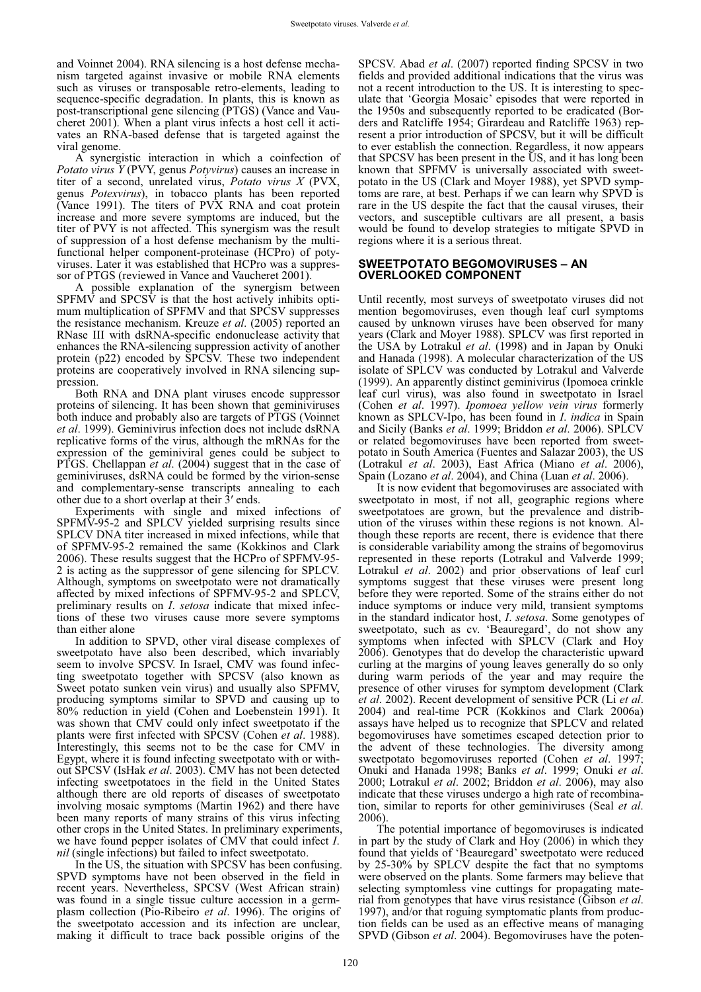and Voinnet 2004). RNA silencing is a host defense mechanism targeted against invasive or mobile RNA elements such as viruses or transposable retro-elements, leading to sequence-specific degradation. In plants, this is known as post-transcriptional gene silencing (PTGS) (Vance and Vaucheret 2001). When a plant virus infects a host cell it activates an RNA-based defense that is targeted against the viral genome.

A synergistic interaction in which a coinfection of *Potato virus Y* (PVY, genus *Potyvirus*) causes an increase in titer of a second, unrelated virus, *Potato virus X* (PVX, genus *Potexvirus*), in tobacco plants has been reported (Vance 1991). The titers of PVX RNA and coat protein increase and more severe symptoms are induced, but the titer of PVY is not affected. This synergism was the result of suppression of a host defense mechanism by the multifunctional helper component-proteinase (HCPro) of potyviruses. Later it was established that HCPro was a suppressor of PTGS (reviewed in Vance and Vaucheret 2001).

A possible explanation of the synergism between  $SPFM\hat{V}$  and  $SPCS\hat{V}$  is that the host actively inhibits optimum multiplication of SPFMV and that SPCSV suppresses the resistance mechanism. Kreuze *et al*. (2005) reported an RNase III with dsRNA-specific endonuclease activity that enhances the RNA-silencing suppression activity of another protein (p22) encoded by SPCSV. These two independent proteins are cooperatively involved in RNA silencing suppression.

Both RNA and DNA plant viruses encode suppressor proteins of silencing. It has been shown that geminiviruses both induce and probably also are targets of PTGS (Voinnet *et al*. 1999). Geminivirus infection does not include dsRNA replicative forms of the virus, although the mRNAs for the expression of the geminiviral genes could be subject to PTGS. Chellappan *et al*. (2004) suggest that in the case of geminiviruses, dsRNA could be formed by the virion-sense and complementary-sense transcripts annealing to each other due to a short overlap at their 3' ends.

Experiments with single and mixed infections of SPFMV-95-2 and SPLCV yielded surprising results since SPLCV DNA titer increased in mixed infections, while that of SPFMV-95-2 remained the same (Kokkinos and Clark 2006). These results suggest that the HCPro of SPFMV-95- 2 is acting as the suppressor of gene silencing for SPLCV. Although, symptoms on sweetpotato were not dramatically affected by mixed infections of SPFMV-95-2 and SPLCV, preliminary results on *I*. *setosa* indicate that mixed infections of these two viruses cause more severe symptoms than either alone

In addition to SPVD, other viral disease complexes of sweetpotato have also been described, which invariably seem to involve SPCSV. In Israel, CMV was found infecting sweetpotato together with SPCSV (also known as Sweet potato sunken vein virus) and usually also SPFMV, producing symptoms similar to SPVD and causing up to 80% reduction in yield (Cohen and Loebenstein 1991). It was shown that CMV could only infect sweetpotato if the plants were first infected with SPCSV (Cohen *et al*. 1988). Interestingly, this seems not to be the case for CMV in Egypt, where it is found infecting sweetpotato with or without SPCSV (IsHak *et al*. 2003). CMV has not been detected infecting sweetpotatoes in the field in the United States although there are old reports of diseases of sweetpotato involving mosaic symptoms (Martin 1962) and there have been many reports of many strains of this virus infecting other crops in the United States. In preliminary experiments, we have found pepper isolates of CMV that could infect *I*. *nil* (single infections) but failed to infect sweetpotato.

In the US, the situation with SPCSV has been confusing. SPVD symptoms have not been observed in the field in recent years. Nevertheless, SPCSV (West African strain) was found in a single tissue culture accession in a germplasm collection (Pio-Ribeiro *et al*. 1996). The origins of the sweetpotato accession and its infection are unclear, making it difficult to trace back possible origins of the

SPCSV. Abad *et al*. (2007) reported finding SPCSV in two fields and provided additional indications that the virus was not a recent introduction to the US. It is interesting to speculate that 'Georgia Mosaic' episodes that were reported in the 1950s and subsequently reported to be eradicated (Borders and Ratcliffe 1954; Girardeau and Ratcliffe 1963) represent a prior introduction of SPCSV, but it will be difficult to ever establish the connection. Regardless, it now appears that SPCSV has been present in the US, and it has long been known that SPFMV is universally associated with sweetpotato in the US (Clark and Moyer 1988), yet SPVD symptoms are rare, at best. Perhaps if we can learn why SPVD is rare in the US despite the fact that the causal viruses, their vectors, and susceptible cultivars are all present, a basis would be found to develop strategies to mitigate SPVD in regions where it is a serious threat.

# **SWEETPOTATO BEGOMOVIRUSES – AN OVERLOOKED COMPONENT**

Until recently, most surveys of sweetpotato viruses did not mention begomoviruses, even though leaf curl symptoms caused by unknown viruses have been observed for many years (Clark and Moyer 1988). SPLCV was first reported in the USA by Lotrakul *et al*. (1998) and in Japan by Onuki and Hanada (1998). A molecular characterization of the US isolate of SPLCV was conducted by Lotrakul and Valverde (1999). An apparently distinct geminivirus (Ipomoea crinkle leaf curl virus), was also found in sweetpotato in Israel (Cohen *et al*. 1997). *Ipomoea yellow vein virus* formerly known as SPLCV-Ipo, has been found in *I*. *indica* in Spain and Sicily (Banks *et al*. 1999; Briddon *et al*. 2006). SPLCV or related begomoviruses have been reported from sweetpotato in South America (Fuentes and Salazar 2003), the US (Lotrakul *et al*. 2003), East Africa (Miano *et al*. 2006), Spain (Lozano *et al*. 2004), and China (Luan *et al*. 2006).

It is now evident that begomoviruses are associated with sweetpotato in most, if not all, geographic regions where sweetpotatoes are grown, but the prevalence and distribution of the viruses within these regions is not known. Although these reports are recent, there is evidence that there is considerable variability among the strains of begomovirus represented in these reports (Lotrakul and Valverde 1999; Lotrakul *et al*. 2002) and prior observations of leaf curl symptoms suggest that these viruses were present long before they were reported. Some of the strains either do not induce symptoms or induce very mild, transient symptoms in the standard indicator host, *I*. *setosa*. Some genotypes of sweetpotato, such as cv. 'Beauregard', do not show any symptoms when infected with SPLCV (Clark and Hoy 2006). Genotypes that do develop the characteristic upward curling at the margins of young leaves generally do so only during warm periods of the year and may require the presence of other viruses for symptom development (Clark *et al*. 2002). Recent development of sensitive PCR (Li *et al*. 2004) and real-time PCR (Kokkinos and Clark 2006a) assays have helped us to recognize that SPLCV and related begomoviruses have sometimes escaped detection prior to the advent of these technologies. The diversity among sweetpotato begomoviruses reported (Cohen *et al*. 1997; Onuki and Hanada 1998; Banks *et al*. 1999; Onuki *et al*. 2000; Lotrakul *et al*. 2002; Briddon *et al*. 2006), may also indicate that these viruses undergo a high rate of recombination, similar to reports for other geminiviruses (Seal *et al*. 2006).

The potential importance of begomoviruses is indicated in part by the study of Clark and Hoy (2006) in which they found that yields of 'Beauregard' sweetpotato were reduced by 25-30% by SPLCV despite the fact that no symptoms were observed on the plants. Some farmers may believe that selecting symptomless vine cuttings for propagating material from genotypes that have virus resistance (Gibson *et al*. 1997), and/or that roguing symptomatic plants from production fields can be used as an effective means of managing SPVD (Gibson *et al*. 2004). Begomoviruses have the poten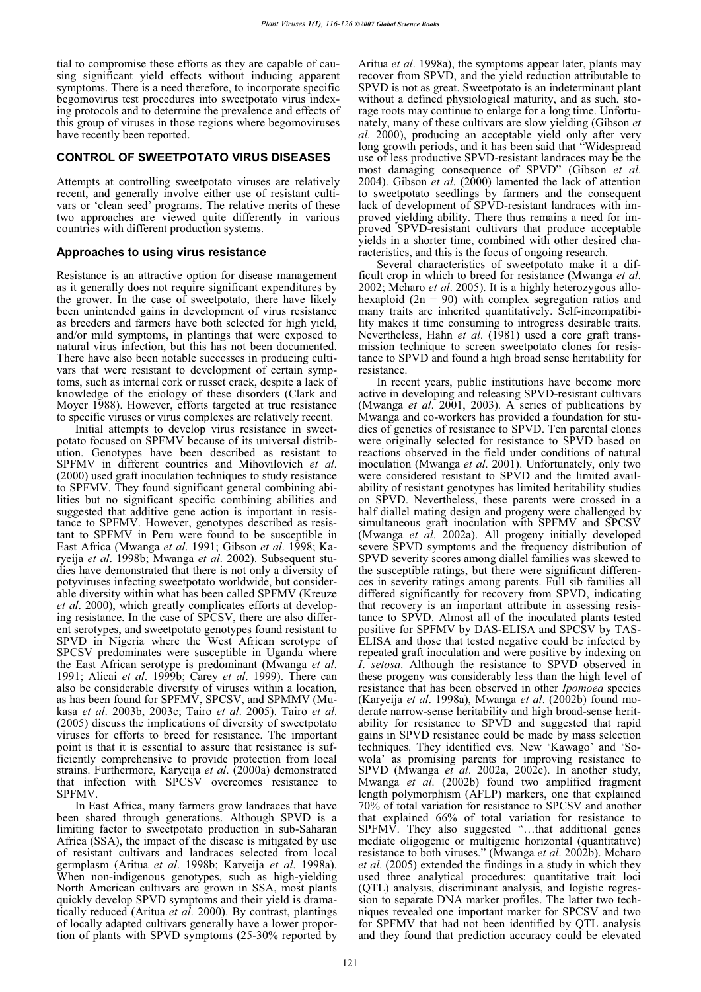tial to compromise these efforts as they are capable of causing significant yield effects without inducing apparent symptoms. There is a need therefore, to incorporate specific begomovirus test procedures into sweetpotato virus indexing protocols and to determine the prevalence and effects of this group of viruses in those regions where begomoviruses have recently been reported.

# **CONTROL OF SWEETPOTATO VIRUS DISEASES**

Attempts at controlling sweetpotato viruses are relatively recent, and generally involve either use of resistant cultivars or 'clean seed' programs. The relative merits of these two approaches are viewed quite differently in various countries with different production systems.

#### **Approaches to using virus resistance**

Resistance is an attractive option for disease management as it generally does not require significant expenditures by the grower. In the case of sweetpotato, there have likely been unintended gains in development of virus resistance as breeders and farmers have both selected for high yield, and/or mild symptoms, in plantings that were exposed to natural virus infection, but this has not been documented. There have also been notable successes in producing cultivars that were resistant to development of certain symptoms, such as internal cork or russet crack, despite a lack of knowledge of the etiology of these disorders (Clark and Moyer 1988). However, efforts targeted at true resistance to specific viruses or virus complexes are relatively recent.

Initial attempts to develop virus resistance in sweetpotato focused on SPFMV because of its universal distribution. Genotypes have been described as resistant to SPFMV in different countries and Mihovilovich *et al*. (2000) used graft inoculation techniques to study resistance to SPFMV. They found significant general combining abilities but no significant specific combining abilities and suggested that additive gene action is important in resistance to SPFMV. However, genotypes described as resistant to SPFMV in Peru were found to be susceptible in East Africa (Mwanga et al. 1991; Gibson et al. 1998; Karyeija *et al*. 1998b; Mwanga *et al*. 2002). Subsequent studies have demonstrated that there is not only a diversity of potyviruses infecting sweetpotato worldwide, but considerable diversity within what has been called SPFMV (Kreuze *et al*. 2000), which greatly complicates efforts at developing resistance. In the case of SPCSV, there are also different serotypes, and sweetpotato genotypes found resistant to SPVD in Nigeria where the West African serotype of SPCSV predominates were susceptible in Uganda where the East African serotype is predominant (Mwanga *et al*. 1991; Alicai *et al*. 1999b; Carey *et al*. 1999). There can also be considerable diversity of viruses within a location, as has been found for SPFMV, SPCSV, and SPMMV (Mukasa *et al*. 2003b, 2003c; Tairo *et al*. 2005). Tairo *et al*. (2005) discuss the implications of diversity of sweetpotato viruses for efforts to breed for resistance. The important point is that it is essential to assure that resistance is sufficiently comprehensive to provide protection from local strains. Furthermore, Karyeija *et al*. (2000a) demonstrated that infection with SPCSV overcomes resistance to SPFMV.

In East Africa, many farmers grow landraces that have been shared through generations. Although SPVD is a limiting factor to sweetpotato production in sub-Saharan Africa (SSA), the impact of the disease is mitigated by use of resistant cultivars and landraces selected from local germplasm (Aritua *et al*. 1998b; Karyeija *et al*. 1998a). When non-indigenous genotypes, such as high-yielding North American cultivars are grown in SSA, most plants quickly develop SPVD symptoms and their yield is dramatically reduced (Aritua *et al*. 2000). By contrast, plantings of locally adapted cultivars generally have a lower proportion of plants with SPVD symptoms (25-30% reported by Aritua *et al*. 1998a), the symptoms appear later, plants may recover from SPVD, and the yield reduction attributable to SPVD is not as great. Sweetpotato is an indeterminant plant without a defined physiological maturity, and as such, storage roots may continue to enlarge for a long time. Unfortunately, many of these cultivars are slow yielding (Gibson *et al*. 2000), producing an acceptable yield only after very long growth periods, and it has been said that "Widespread use of less productive SPVD-resistant landraces may be the most damaging consequence of SPVD" (Gibson *et al*. 2004). Gibson *et al*. (2000) lamented the lack of attention to sweetpotato seedlings by farmers and the consequent lack of development of SPVD-resistant landraces with improved yielding ability. There thus remains a need for improved SPVD-resistant cultivars that produce acceptable yields in a shorter time, combined with other desired characteristics, and this is the focus of ongoing research.

Several characteristics of sweetpotato make it a difficult crop in which to breed for resistance (Mwanga *et al*. 2002; Mcharo *et al*. 2005). It is a highly heterozygous allohexaploid ( $2n = 90$ ) with complex segregation ratios and many traits are inherited quantitatively. Self-incompatibility makes it time consuming to introgress desirable traits. Nevertheless, Hahn *et al.* (1981) used a core graft transmission technique to screen sweetpotato clones for resistance to SPVD and found a high broad sense heritability for resistance.

In recent years, public institutions have become more active in developing and releasing SPVD-resistant cultivars (Mwanga *et al*. 2001, 2003). A series of publications by Mwanga and co-workers has provided a foundation for studies of genetics of resistance to SPVD. Ten parental clones were originally selected for resistance to SPVD based on reactions observed in the field under conditions of natural inoculation (Mwanga *et al*. 2001). Unfortunately, only two were considered resistant to SPVD and the limited availability of resistant genotypes has limited heritability studies on SPVD. Nevertheless, these parents were crossed in a half diallel mating design and progeny were challenged by simultaneous graft inoculation with SPFMV and SPCSV (Mwanga *et al*. 2002a). All progeny initially developed severe SPVD symptoms and the frequency distribution of SPVD severity scores among diallel families was skewed to the susceptible ratings, but there were significant differences in severity ratings among parents. Full sib families all differed significantly for recovery from SPVD, indicating that recovery is an important attribute in assessing resistance to SPVD. Almost all of the inoculated plants tested positive for SPFMV by DAS-ELISA and SPCSV by TAS-ELISA and those that tested negative could be infected by repeated graft inoculation and were positive by indexing on *I*. *setosa*. Although the resistance to SPVD observed in these progeny was considerably less than the high level of resistance that has been observed in other *Ipomoea* species (Karyeija *et al*. 1998a), Mwanga *et al*. (2002b) found moderate narrow-sense heritability and high broad-sense heritability for resistance to SPVD and suggested that rapid gains in SPVD resistance could be made by mass selection techniques. They identified cvs. New 'Kawago' and 'Sowola' as promising parents for improving resistance to SPVD (Mwanga *et al*. 2002a, 2002c). In another study, Mwanga *et al*. (2002b) found two amplified fragment length polymorphism (AFLP) markers, one that explained 70% of total variation for resistance to SPCSV and another that explained 66% of total variation for resistance to SPFMV. They also suggested "…that additional genes mediate oligogenic or multigenic horizontal (quantitative) resistance to both viruses." (Mwanga *et al*. 2002b). Mcharo *et al*. (2005) extended the findings in a study in which they used three analytical procedures: quantitative trait loci (QTL) analysis, discriminant analysis, and logistic regression to separate DNA marker profiles. The latter two techniques revealed one important marker for SPCSV and two for SPFMV that had not been identified by QTL analysis and they found that prediction accuracy could be elevated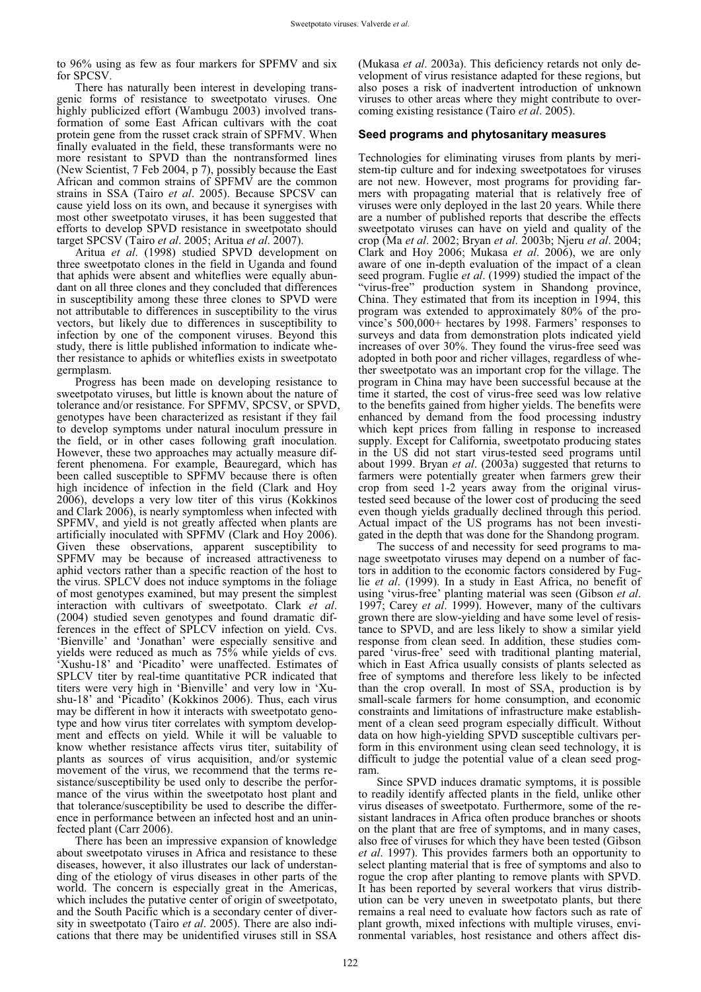to 96% using as few as four markers for SPFMV and six for SPCSV.

There has naturally been interest in developing transgenic forms of resistance to sweetpotato viruses. One highly publicized effort (Wambugu 2003) involved transformation of some East African cultivars with the coat protein gene from the russet crack strain of SPFMV. When finally evaluated in the field, these transformants were no more resistant to SPVD than the nontransformed lines (New Scientist, 7 Feb 2004, p 7), possibly because the East African and common strains of SPFMV are the common strains in SSA (Tairo *et al*. 2005). Because SPCSV can cause yield loss on its own, and because it synergises with most other sweetpotato viruses, it has been suggested that efforts to develop SPVD resistance in sweetpotato should target SPCSV (Tairo *et al*. 2005; Aritua *et al*. 2007).

Aritua *et al*. (1998) studied SPVD development on three sweetpotato clones in the field in Uganda and found that aphids were absent and whiteflies were equally abundant on all three clones and they concluded that differences in susceptibility among these three clones to SPVD were not attributable to differences in susceptibility to the virus vectors, but likely due to differences in susceptibility to infection by one of the component viruses. Beyond this study, there is little published information to indicate whether resistance to aphids or whiteflies exists in sweetpotato germplasm.

Progress has been made on developing resistance to sweetpotato viruses, but little is known about the nature of tolerance and/or resistance. For SPFMV, SPCSV, or SPVD, genotypes have been characterized as resistant if they fail to develop symptoms under natural inoculum pressure in the field, or in other cases following graft inoculation. However, these two approaches may actually measure different phenomena. For example, Beauregard, which has been called susceptible to SPFMV because there is often high incidence of infection in the field (Clark and Hoy 2006), develops a very low titer of this virus (Kokkinos and Clark 2006), is nearly symptomless when infected with SPFMV, and yield is not greatly affected when plants are artificially inoculated with SPFMV (Clark and Hoy 2006). Given these observations, apparent susceptibility to SPFMV may be because of increased attractiveness to aphid vectors rather than a specific reaction of the host to the virus. SPLCV does not induce symptoms in the foliage of most genotypes examined, but may present the simplest interaction with cultivars of sweetpotato. Clark *et al*. (2004) studied seven genotypes and found dramatic differences in the effect of SPLCV infection on yield. Cvs. 'Bienville' and 'Jonathan' were especially sensitive and yields were reduced as much as 75% while yields of cvs. 'Xushu-18' and 'Picadito' were unaffected. Estimates of SPLCV titer by real-time quantitative PCR indicated that titers were very high in 'Bienville' and very low in 'Xushu-18' and 'Picadito' (Kokkinos 2006). Thus, each virus may be different in how it interacts with sweetpotato genotype and how virus titer correlates with symptom development and effects on yield. While it will be valuable to know whether resistance affects virus titer, suitability of plants as sources of virus acquisition, and/or systemic movement of the virus, we recommend that the terms resistance/susceptibility be used only to describe the performance of the virus within the sweetpotato host plant and that tolerance/susceptibility be used to describe the difference in performance between an infected host and an uninfected plant (Carr 2006).

There has been an impressive expansion of knowledge about sweetpotato viruses in Africa and resistance to these diseases, however, it also illustrates our lack of understanding of the etiology of virus diseases in other parts of the world. The concern is especially great in the Americas, which includes the putative center of origin of sweetpotato, and the South Pacific which is a secondary center of diversity in sweetpotato (Tairo *et al*. 2005). There are also indications that there may be unidentified viruses still in SSA

(Mukasa *et al*. 2003a). This deficiency retards not only development of virus resistance adapted for these regions, but also poses a risk of inadvertent introduction of unknown viruses to other areas where they might contribute to overcoming existing resistance (Tairo *et al*. 2005).

#### **Seed programs and phytosanitary measures**

Technologies for eliminating viruses from plants by meristem-tip culture and for indexing sweetpotatoes for viruses are not new. However, most programs for providing farmers with propagating material that is relatively free of viruses were only deployed in the last 20 years. While there are a number of published reports that describe the effects sweetpotato viruses can have on yield and quality of the crop (Ma *et al*. 2002; Bryan *et al*. 2003b; Njeru *et al*. 2004; Clark and Hoy 2006; Mukasa *et al*. 2006), we are only aware of one in-depth evaluation of the impact of a clean seed program. Fuglie *et al*. (1999) studied the impact of the "virus-free" production system in Shandong province, China. They estimated that from its inception in 1994, this program was extended to approximately 80% of the province's 500,000+ hectares by 1998. Farmers' responses to surveys and data from demonstration plots indicated yield increases of over 30%. They found the virus-free seed was adopted in both poor and richer villages, regardless of whether sweetpotato was an important crop for the village. The program in China may have been successful because at the time it started, the cost of virus-free seed was low relative to the benefits gained from higher yields. The benefits were enhanced by demand from the food processing industry which kept prices from falling in response to increased supply. Except for California, sweetpotato producing states in the US did not start virus-tested seed programs until about 1999. Bryan *et al*. (2003a) suggested that returns to farmers were potentially greater when farmers grew their crop from seed 1-2 years away from the original virustested seed because of the lower cost of producing the seed even though yields gradually declined through this period. Actual impact of the US programs has not been investigated in the depth that was done for the Shandong program.

The success of and necessity for seed programs to manage sweetpotato viruses may depend on a number of factors in addition to the economic factors considered by Fuglie *et al*. (1999). In a study in East Africa, no benefit of using 'virus-free' planting material was seen (Gibson *et al*. 1997; Carey *et al*. 1999). However, many of the cultivars grown there are slow-yielding and have some level of resistance to SPVD, and are less likely to show a similar yield response from clean seed. In addition, these studies compared 'virus-free' seed with traditional planting material, which in East Africa usually consists of plants selected as free of symptoms and therefore less likely to be infected than the crop overall. In most of SSA, production is by small-scale farmers for home consumption, and economic constraints and limitations of infrastructure make establishment of a clean seed program especially difficult. Without data on how high-yielding SPVD susceptible cultivars perform in this environment using clean seed technology, it is difficult to judge the potential value of a clean seed program.

Since SPVD induces dramatic symptoms, it is possible to readily identify affected plants in the field, unlike other virus diseases of sweetpotato. Furthermore, some of the resistant landraces in Africa often produce branches or shoots on the plant that are free of symptoms, and in many cases, also free of viruses for which they have been tested (Gibson *et al*. 1997). This provides farmers both an opportunity to select planting material that is free of symptoms and also to rogue the crop after planting to remove plants with SPVD. It has been reported by several workers that virus distribution can be very uneven in sweetpotato plants, but there remains a real need to evaluate how factors such as rate of plant growth, mixed infections with multiple viruses, environmental variables, host resistance and others affect dis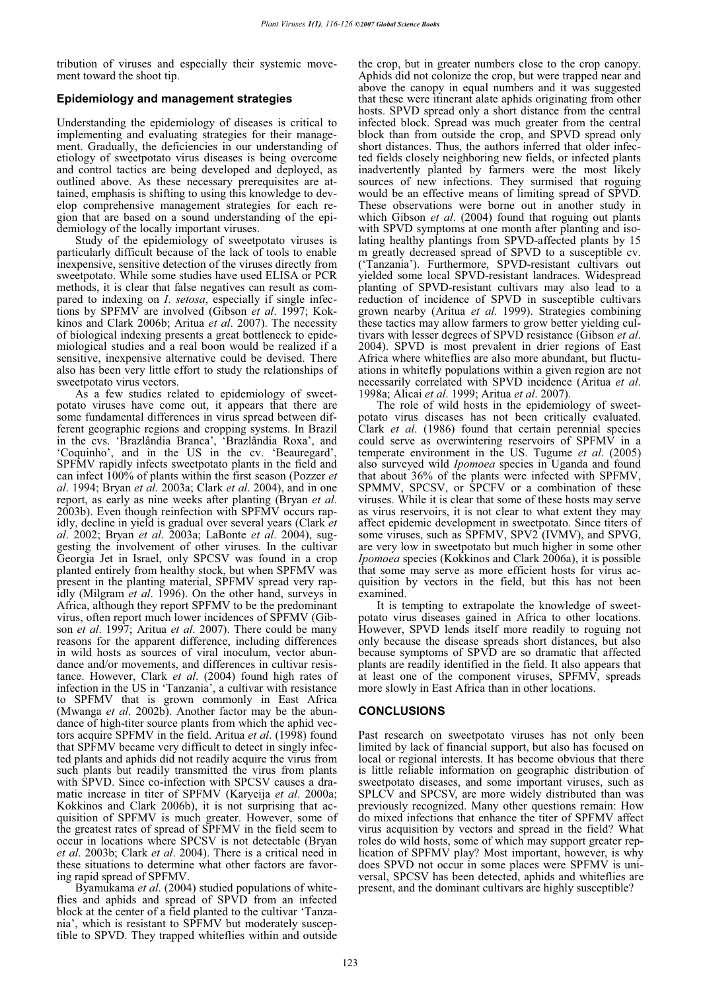tribution of viruses and especially their systemic movement toward the shoot tip.

# **Epidemiology and management strategies**

Understanding the epidemiology of diseases is critical to implementing and evaluating strategies for their management. Gradually, the deficiencies in our understanding of etiology of sweetpotato virus diseases is being overcome and control tactics are being developed and deployed, as outlined above. As these necessary prerequisites are attained, emphasis is shifting to using this knowledge to develop comprehensive management strategies for each region that are based on a sound understanding of the epidemiology of the locally important viruses.

Study of the epidemiology of sweetpotato viruses is particularly difficult because of the lack of tools to enable inexpensive, sensitive detection of the viruses directly from sweetpotato. While some studies have used ELISA or PCR methods, it is clear that false negatives can result as compared to indexing on *I*. *setosa*, especially if single infections by SPFMV are involved (Gibson *et al*. 1997; Kokkinos and Clark 2006b; Aritua *et al*. 2007). The necessity of biological indexing presents a great bottleneck to epidemiological studies and a real boon would be realized if a sensitive, inexpensive alternative could be devised. There also has been very little effort to study the relationships of sweetpotato virus vectors.

As a few studies related to epidemiology of sweetpotato viruses have come out, it appears that there are some fundamental differences in virus spread between different geographic regions and cropping systems. In Brazil in the cvs. 'Brazlândia Branca', 'Brazlândia Roxa', and 'Coquinho', and in the US in the cv. 'Beauregard', SPFMV rapidly infects sweetpotato plants in the field and can infect 100% of plants within the first season (Pozzer *et al*. 1994; Bryan *et al*. 2003a; Clark *et al*. 2004), and in one report, as early as nine weeks after planting (Bryan *et al*. 2003b). Even though reinfection with SPFMV occurs rapidly, decline in yield is gradual over several years (Clark *et al*. 2002; Bryan *et al*. 2003a; LaBonte *et al*. 2004), suggesting the involvement of other viruses. In the cultivar Georgia Jet in Israel, only SPCSV was found in a crop planted entirely from healthy stock, but when SPFMV was present in the planting material, SPFMV spread very rapidly (Milgram *et al*. 1996). On the other hand, surveys in Africa, although they report SPFMV to be the predominant virus, often report much lower incidences of SPFMV (Gibson *et al*. 1997; Aritua *et al*. 2007). There could be many reasons for the apparent difference, including differences in wild hosts as sources of viral inoculum, vector abundance and/or movements, and differences in cultivar resistance. However, Clark *et al*. (2004) found high rates of infection in the US in 'Tanzania', a cultivar with resistance to SPFMV that is grown commonly in East Africa (Mwanga *et al*. 2002b). Another factor may be the abundance of high-titer source plants from which the aphid vectors acquire SPFMV in the field. Aritua *et al*. (1998) found that SPFMV became very difficult to detect in singly infected plants and aphids did not readily acquire the virus from such plants but readily transmitted the virus from plants with SPVD. Since co-infection with SPCSV causes a dramatic increase in titer of SPFMV (Karyeija *et al*. 2000a; Kokkinos and Clark 2006b), it is not surprising that acquisition of SPFMV is much greater. However, some of the greatest rates of spread of SPFMV in the field seem to occur in locations where SPCSV is not detectable (Bryan *et al*. 2003b; Clark *et al*. 2004). There is a critical need in these situations to determine what other factors are favoring rapid spread of SPFMV.

Byamukama *et al*. (2004) studied populations of whiteflies and aphids and spread of SPVD from an infected block at the center of a field planted to the cultivar 'Tanzania', which is resistant to SPFMV but moderately susceptible to SPVD. They trapped whiteflies within and outside

the crop, but in greater numbers close to the crop canopy. Aphids did not colonize the crop, but were trapped near and above the canopy in equal numbers and it was suggested that these were itinerant alate aphids originating from other hosts. SPVD spread only a short distance from the central infected block. Spread was much greater from the central block than from outside the crop, and SPVD spread only short distances. Thus, the authors inferred that older infected fields closely neighboring new fields, or infected plants inadvertently planted by farmers were the most likely sources of new infections. They surmised that roguing would be an effective means of limiting spread of SPVD. These observations were borne out in another study in which Gibson *et al*. (2004) found that roguing out plants with SPVD symptoms at one month after planting and isolating healthy plantings from SPVD-affected plants by 15 m greatly decreased spread of SPVD to a susceptible cv. ('Tanzania'). Furthermore, SPVD-resistant cultivars out yielded some local SPVD-resistant landraces. Widespread planting of SPVD-resistant cultivars may also lead to a reduction of incidence of SPVD in susceptible cultivars grown nearby (Aritua *et al*. 1999). Strategies combining these tactics may allow farmers to grow better yielding cultivars with lesser degrees of SPVD resistance (Gibson *et al*. 2004). SPVD is most prevalent in drier regions of East Africa where whiteflies are also more abundant, but fluctuations in whitefly populations within a given region are not necessarily correlated with SPVD incidence (Aritua *et al*. 1998a; Alicai *et al*. 1999; Aritua *et al*. 2007).

The role of wild hosts in the epidemiology of sweetpotato virus diseases has not been critically evaluated. Clark *et al*. (1986) found that certain perennial species could serve as overwintering reservoirs of SPFMV in a temperate environment in the US. Tugume *et al*. (2005) also surveyed wild *Ipomoea* species in Uganda and found that about 36% of the plants were infected with SPFMV, SPMMV, SPCSV, or SPCFV or a combination of these viruses. While it is clear that some of these hosts may serve as virus reservoirs, it is not clear to what extent they may affect epidemic development in sweetpotato. Since titers of some viruses, such as SPFMV, SPV2 (IVMV), and SPVG, are very low in sweetpotato but much higher in some other *Ipomoea* species (Kokkinos and Clark 2006a), it is possible that some may serve as more efficient hosts for virus acquisition by vectors in the field, but this has not been examined.

It is tempting to extrapolate the knowledge of sweetpotato virus diseases gained in Africa to other locations. However, SPVD lends itself more readily to roguing not only because the disease spreads short distances, but also because symptoms of SPVD are so dramatic that affected plants are readily identified in the field. It also appears that at least one of the component viruses, SPFMV, spreads more slowly in East Africa than in other locations.

# **CONCLUSIONS**

Past research on sweetpotato viruses has not only been limited by lack of financial support, but also has focused on local or regional interests. It has become obvious that there is little reliable information on geographic distribution of sweetpotato diseases, and some important viruses, such as SPLCV and SPCSV, are more widely distributed than was previously recognized. Many other questions remain: How do mixed infections that enhance the titer of SPFMV affect virus acquisition by vectors and spread in the field? What roles do wild hosts, some of which may support greater replication of SPFMV play? Most important, however, is why does SPVD not occur in some places were SPFMV is universal, SPCSV has been detected, aphids and whiteflies are present, and the dominant cultivars are highly susceptible?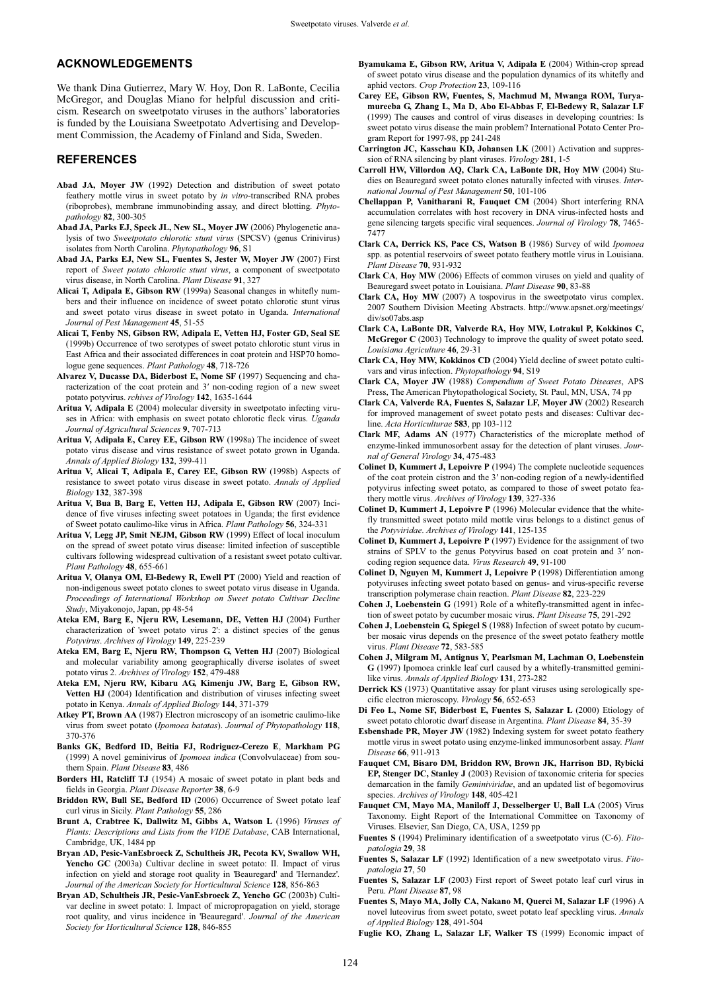#### **ACKNOWLEDGEMENTS**

We thank Dina Gutierrez, Mary W. Hoy, Don R. LaBonte, Cecilia McGregor, and Douglas Miano for helpful discussion and criticism. Research on sweetpotato viruses in the authors' laboratories is funded by the Louisiana Sweetpotato Advertising and Development Commission, the Academy of Finland and Sida, Sweden.

#### **REFERENCES**

- **Abad JA, Moyer JW** (1992) Detection and distribution of sweet potato feathery mottle virus in sweet potato by *in vitro*-transcribed RNA probes (riboprobes), membrane immunobinding assay, and direct blotting. *Phytopathology* **82**, 300-305
- **Abad JA, Parks EJ, Speck JL, New SL, Moyer JW** (2006) Phylogenetic analysis of two *Sweetpotato chlorotic stunt virus* (SPCSV) (genus Crinivirus) isolates from North Carolina. *Phytopathology* **96**, S1
- **Abad JA, Parks EJ, New SL, Fuentes S, Jester W, Moyer JW** (2007) First report of *Sweet potato chlorotic stunt virus*, a component of sweetpotato virus disease, in North Carolina. *Plant Disease* **91**, 327
- **Alicai T, Adipala E, Gibson RW** (1999a) Seasonal changes in whitefly numbers and their influence on incidence of sweet potato chlorotic stunt virus and sweet potato virus disease in sweet potato in Uganda. *International Journal of Pest Management* **45**, 51-55
- **Alicai T, Fenby NS, Gibson RW, Adipala E, Vetten HJ, Foster GD, Seal SE**  (1999b) Occurrence of two serotypes of sweet potato chlorotic stunt virus in East Africa and their associated differences in coat protein and HSP70 homologue gene sequences. *Plant Pathology* **48**, 718-726
- **Alvarez V, Ducasse DA, Biderbost E, Nome SF** (1997) Sequencing and characterization of the coat protein and 3' non-coding region of a new sweet potato potyvirus. *rchives of Virology* **142**, 1635-1644
- **Aritua V, Adipala E** (2004) molecular diversity in sweetpotato infecting viruses in Africa: with emphasis on sweet potato chlorotic fleck virus. *Uganda Journal of Agricultural Sciences* **9**, 707-713
- **Aritua V, Adipala E, Carey EE, Gibson RW** (1998a) The incidence of sweet potato virus disease and virus resistance of sweet potato grown in Uganda. *Annals of Applied Biology* **132**, 399-411
- **Aritua V, Alicai T, Adipala E, Carey EE, Gibson RW** (1998b) Aspects of resistance to sweet potato virus disease in sweet potato. *Annals of Applied Biology* **132**, 387-398
- **Aritua V, Bua B, Barg E, Vetten HJ, Adipala E, Gibson RW** (2007) Incidence of five viruses infecting sweet potatoes in Uganda; the first evidence of Sweet potato caulimo-like virus in Africa. *Plant Pathology* **56**, 324-331
- **Aritua V, Legg JP, Smit NEJM, Gibson RW** (1999) Effect of local inoculum on the spread of sweet potato virus disease: limited infection of susceptible cultivars following widespread cultivation of a resistant sweet potato cultivar. *Plant Pathology* **48**, 655-661
- **Aritua V, Olanya OM, El-Bedewy R, Ewell PT** (2000) Yield and reaction of non-indigenous sweet potato clones to sweet potato virus disease in Uganda. *Proceedings of International Workshop on Sweet potato Cultivar Decline Study*, Miyakonojo, Japan, pp 48-54
- **Ateka EM, Barg E, Njeru RW, Lesemann, DE, Vetten HJ** (2004) Further characterization of 'sweet potato virus 2': a distinct species of the genus *Potyvirus*. *Archives of Virology* **149**, 225-239
- **Ateka EM, Barg E, Njeru RW, Thompson G, Vetten HJ** (2007) Biological and molecular variability among geographically diverse isolates of sweet potato virus 2. *Archives of Virology* **152**, 479-488
- **Ateka EM, Njeru RW, Kibaru AG, Kimenju JW, Barg E, Gibson RW, Vetten HJ** (2004) Identification and distribution of viruses infecting sweet potato in Kenya. *Annals of Applied Biology* **144**, 371-379
- **Atkey PT, Brown AA** (1987) Electron microscopy of an isometric caulimo-like virus from sweet potato (*Ipomoea batatas*). *Journal of Phytopathology* **118**, 370-376
- **Banks GK, Bedford ID, Beitia FJ, Rodriguez-Cerezo E**, **Markham PG**  (1999) A novel geminivirus of *Ipomoea indica* (Convolvulaceae) from southern Spain. *Plant Disease* **83**, 486
- **Borders HI, Ratcliff TJ** (1954) A mosaic of sweet potato in plant beds and fields in Georgia. *Plant Disease Reporter* **38**, 6-9
- **Briddon RW, Bull SE, Bedford ID** (2006) Occurrence of Sweet potato leaf curl virus in Sicily. *Plant Pathology* **55**, 286
- **Brunt A, Crabtree K, Dallwitz M, Gibbs A, Watson L** (1996) *Viruses of Plants: Descriptions and Lists from the VIDE Database*, CAB International, Cambridge, UK, 1484 pp
- **Bryan AD, Pesic-VanEsbroeck Z, Schultheis JR, Pecota KV, Swallow WH, Yencho GC** (2003a) Cultivar decline in sweet potato: II. Impact of virus infection on yield and storage root quality in 'Beauregard' and 'Hernandez'. *Journal of the American Society for Horticultural Science* **128**, 856-863
- **Bryan AD, Schultheis JR, Pesic-VanEsbroeck Z, Yencho GC** (2003b) Cultivar decline in sweet potato: I. Impact of micropropagation on yield, storage root quality, and virus incidence in 'Beauregard'. *Journal of the American Society for Horticultural Science* **128**, 846-855
- **Byamukama E, Gibson RW, Aritua V, Adipala E** (2004) Within-crop spread of sweet potato virus disease and the population dynamics of its whitefly and aphid vectors. *Crop Protection* **23**, 109-116
- **Carey EE, Gibson RW, Fuentes, S, Machmud M, Mwanga ROM, Turyamureeba G, Zhang L, Ma D, Abo El-Abbas F, El-Bedewy R, Salazar LF**  (1999) The causes and control of virus diseases in developing countries: Is sweet potato virus disease the main problem? International Potato Center Program Report for 1997-98, pp 241-248
- **Carrington JC, Kasschau KD, Johansen LK** (2001) Activation and suppression of RNA silencing by plant viruses. *Virology* **281**, 1-5
- **Carroll HW, Villordon AQ, Clark CA, LaBonte DR, Hoy MW** (2004) Studies on Beauregard sweet potato clones naturally infected with viruses. *International Journal of Pest Management* **50**, 101-106
- **Chellappan P, Vanitharani R, Fauquet CM** (2004) Short interfering RNA accumulation correlates with host recovery in DNA virus-infected hosts and gene silencing targets specific viral sequences. *Journal of Virology* **78**, 7465- 7477
- **Clark CA, Derrick KS, Pace CS, Watson B** (1986) Survey of wild *Ipomoea* spp. as potential reservoirs of sweet potato feathery mottle virus in Louisiana. *Plant Disease* **70**, 931-932
- **Clark CA**, **Hoy MW** (2006) Effects of common viruses on yield and quality of Beauregard sweet potato in Louisiana. *Plant Disease* **90**, 83-88
- **Clark CA, Hoy MW** (2007) A tospovirus in the sweetpotato virus complex. 2007 Southern Division Meeting Abstracts. http://www.apsnet.org/meetings/ div/so07abs.asp
- **Clark CA, LaBonte DR, Valverde RA, Hoy MW, Lotrakul P, Kokkinos C, McGregor C** (2003) Technology to improve the quality of sweet potato seed. *Louisiana Agriculture* **46**, 29-31
- **Clark CA, Hoy MW, Kokkinos CD** (2004) Yield decline of sweet potato cultivars and virus infection. *Phytopathology* **94**, S19
- **Clark CA, Moyer JW** (1988) *Compendium of Sweet Potato Diseases*, APS Press, The American Phytopathological Society, St. Paul, MN, USA, 74 pp
- **Clark CA, Valverde RA, Fuentes S, Salazar LF, Moyer JW** (2002) Research for improved management of sweet potato pests and diseases: Cultivar decline. *Acta Horticulturae* **583**, pp 103-112
- **Clark MF, Adams AN** (1977) Characteristics of the microplate method of enzyme-linked immunosorbent assay for the detection of plant viruses. *Journal of General Virology* **34**, 475-483
- **Colinet D, Kummert J, Lepoivre P** (1994) The complete nucleotide sequences of the coat protein cistron and the 3' non-coding region of a newly-identified potyvirus infecting sweet potato, as compared to those of sweet potato feathery mottle virus. *Archives of Virology* **139**, 327-336
- **Colinet D, Kummert J, Lepoivre P** (1996) Molecular evidence that the whitefly transmitted sweet potato mild mottle virus belongs to a distinct genus of the *Potyviridae*. *Archives of Virology* **141**, 125-135
- **Colinet D, Kummert J, Lepoivre P** (1997) Evidence for the assignment of two strains of SPLV to the genus Potyvirus based on coat protein and 3' noncoding region sequence data. *Virus Research* **49**, 91-100
- **Colinet D, Nguyen M, Kummert J, Lepoivre P** (1998) Differentiation among potyviruses infecting sweet potato based on genus- and virus-specific reverse transcription polymerase chain reaction. *Plant Disease* **82**, 223-229
- **Cohen J, Loebenstein G** (1991) Role of a whitefly-transmitted agent in infection of sweet potato by cucumber mosaic virus. *Plant Disease* **75**, 291-292
- **Cohen J, Loebenstein G, Spiegel S** (1988) Infection of sweet potato by cucumber mosaic virus depends on the presence of the sweet potato feathery mottle virus. *Plant Disease* **72**, 583-585
- **Cohen J, Milgram M, Antignus Y, Pearlsman M, Lachman O, Loebenstein G** (1997) Ipomoea crinkle leaf curl caused by a whitefly-transmitted geminilike virus. *Annals of Applied Biology* **131**, 273-282
- **Derrick KS** (1973) Quantitative assay for plant viruses using serologically specific electron microscopy. *Virology* **56**, 652-653
- **Di Feo L, Nome SF, Biderbost E, Fuentes S, Salazar L** (2000) Etiology of sweet potato chlorotic dwarf disease in Argentina. *Plant Disease* **84**, 35-39
- **Esbenshade PR, Moyer JW** (1982) Indexing system for sweet potato feathery mottle virus in sweet potato using enzyme-linked immunosorbent assay. *Plant Disease* **66**, 911-913
- **Fauquet CM, Bisaro DM, Briddon RW, Brown JK, Harrison BD, Rybicki EP, Stenger DC, Stanley J** (2003) Revision of taxonomic criteria for species demarcation in the family *Geminiviridae*, and an updated list of begomovirus species. *Archives of Virology* **148**, 405-421
- **Fauquet CM, Mayo MA, Maniloff J, Desselberger U, Ball LA** (2005) Virus Taxonomy. Eight Report of the International Committee on Taxonomy of Viruses. Elsevier, San Diego, CA, USA, 1259 pp
- **Fuentes S** (1994) Preliminary identification of a sweetpotato virus (C-6). *Fitopatologia* **29**, 38
- **Fuentes S, Salazar LF** (1992) Identification of a new sweetpotato virus. *Fitopatologia* **27**, 50
- **Fuentes S, Salazar LF** (2003) First report of Sweet potato leaf curl virus in Peru. *Plant Disease* **87**, 98
- **Fuentes S, Mayo MA, Jolly CA, Nakano M, Querci M, Salazar LF** (1996) A novel luteovirus from sweet potato, sweet potato leaf speckling virus. *Annals of Applied Biology* **128**, 491-504
- **Fuglie KO, Zhang L, Salazar LF, Walker TS** (1999) Economic impact of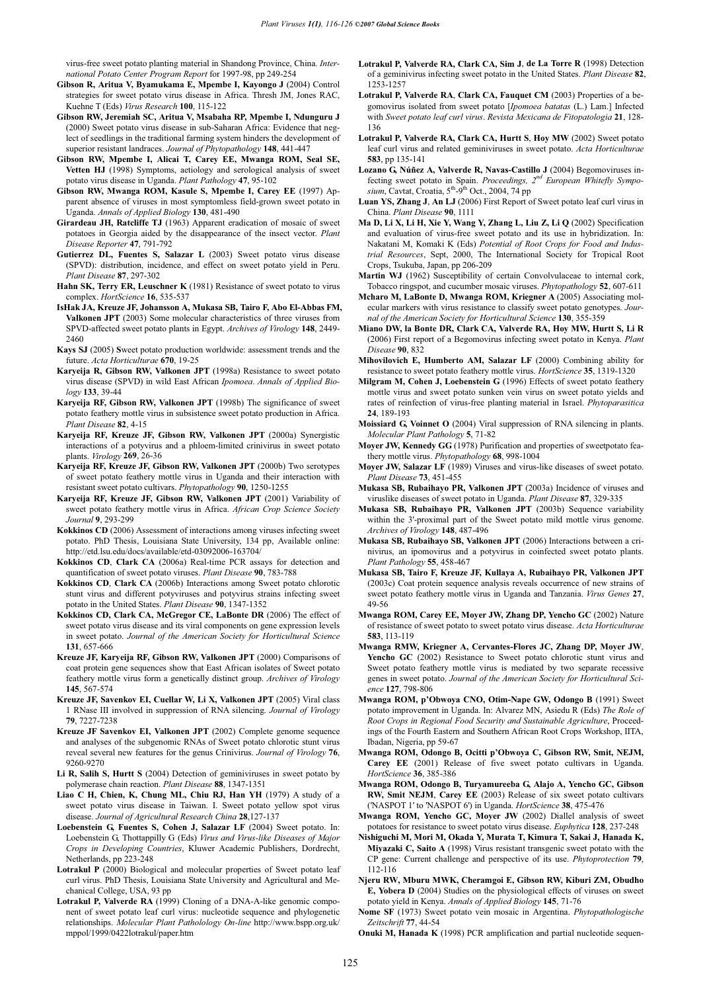virus-free sweet potato planting material in Shandong Province, China. *International Potato Center Program Report* for 1997-98, pp 249-254

- **Gibson R, Aritua V, Byamukama E, Mpembe I, Kayongo J** (2004) Control strategies for sweet potato virus disease in Africa. Thresh JM, Jones RAC, Kuehne T (Eds) *Virus Research* **100**, 115-122
- **Gibson RW, Jeremiah SC, Aritua V, Msabaha RP, Mpembe I, Ndunguru J**  (2000) Sweet potato virus disease in sub-Saharan Africa: Evidence that neglect of seedlings in the traditional farming system hinders the development of superior resistant landraces. *Journal of Phytopathology* **148**, 441-447
- **Gibson RW, Mpembe I, Alicai T, Carey EE, Mwanga ROM, Seal SE, Vetten HJ** (1998) Symptoms, aetiology and serological analysis of sweet potato virus disease in Uganda. *Plant Pathology* **47**, 95-102
- **Gibson RW, Mwanga ROM, Kasule S, Mpembe I, Carey EE** (1997) Apparent absence of viruses in most symptomless field-grown sweet potato in Uganda. *Annals of Applied Biology* **130**, 481-490
- **Girardeau JH, Ratcliffe TJ** (1963) Apparent eradication of mosaic of sweet potatoes in Georgia aided by the disappearance of the insect vector. *Plant Disease Reporter* **47**, 791-792
- Gutierrez DL, Fuentes S, Salazar L (2003) Sweet potato virus disease (SPVD): distribution, incidence, and effect on sweet potato yield in Peru. *Plant Disease* **87**, 297-302
- Hahn SK, Terry ER, Leuschner K (1981) Resistance of sweet potato to virus complex. *HortScience* **16**, 535-537
- **IsHak JA, Kreuze JF, Johansson A, Mukasa SB, Tairo F, Abo El-Abbas FM, Valkonen JPT** (2003) Some molecular characteristics of three viruses from SPVD-affected sweet potato plants in Egypt. *Archives of Virology* **148**, 2449- 2460
- **Kays SJ** (2005) **S**weet potato production worldwide: assessment trends and the future. *Acta Horticulturae* **670**, 19-25
- **Karyeija R, Gibson RW, Valkonen JPT** (1998a) Resistance to sweet potato virus disease (SPVD) in wild East African *Ipomoea*. *Annals of Applied Biology* **133**, 39-44
- **Karyeija RF, Gibson RW, Valkonen JPT** (1998b) The significance of sweet potato feathery mottle virus in subsistence sweet potato production in Africa. *Plant Disease* **82**, 4-15
- **Karyeija RF, Kreuze JF, Gibson RW, Valkonen JPT** (2000a) Synergistic interactions of a potyvirus and a phloem-limited crinivirus in sweet potato plants. *Virology* **269**, 26-36
- **Karyeija RF, Kreuze JF, Gibson RW, Valkonen JPT** (2000b) Two serotypes of sweet potato feathery mottle virus in Uganda and their interaction with resistant sweet potato cultivars. *Phytopathology* **90**, 1250-1255
- **Karyeija RF, Kreuze JF, Gibson RW, Valkonen JPT** (2001) Variability of sweet potato feathery mottle virus in Africa. *African Crop Science Society Journal* **9**, 293-299
- **Kokkinos CD** (2006) Assessment of interactions among viruses infecting sweet potato. PhD Thesis, Louisiana State University, 134 pp, Available online: http://etd.lsu.edu/docs/available/etd-03092006-163704/
- **Kokkinos CD**, **Clark CA** (2006a) Real-time PCR assays for detection and quantification of sweet potato viruses. *Plant Disease* **90**, 783-788
- **Kokkinos CD**, **Clark CA** (2006b) Interactions among Sweet potato chlorotic stunt virus and different potyviruses and potyvirus strains infecting sweet potato in the United States. *Plant Disease* **90**, 1347-1352
- **Kokkinos CD, Clark CA, McGregor CE, LaBonte DR** (2006) The effect of sweet potato virus disease and its viral components on gene expression levels in sweet potato. *Journal of the American Society for Horticultural Science* **131**, 657-666
- **Kreuze JF, Karyeija RF, Gibson RW, Valkonen JPT** (2000) Comparisons of coat protein gene sequences show that East African isolates of Sweet potato feathery mottle virus form a genetically distinct group. *Archives of Virology* **145**, 567-574
- **Kreuze JF, Savenkov EI, Cuellar W, Li X, Valkonen JPT** (2005) Viral class 1 RNase III involved in suppression of RNA silencing. *Journal of Virology* **79**, 7227-7238
- **Kreuze JF Savenkov EI, Valkonen JPT** (2002) Complete genome sequence and analyses of the subgenomic RNAs of Sweet potato chlorotic stunt virus reveal several new features for the genus Crinivirus. *Journal of Virology* **76**, 9260-9270
- **Li R, Salih S, Hurtt S** (2004) Detection of geminiviruses in sweet potato by polymerase chain reaction. *Plant Disease* **88**, 1347-1351
- **Liao C H, Chien, K, Chung ML, Chiu RJ, Han YH** (1979) A study of a sweet potato virus disease in Taiwan. I. Sweet potato yellow spot virus disease. *Journal of Agricultural Research China* **28**,127-137
- **Loebenstein G, Fuentes S, Cohen J, Salazar LF** (2004) Sweet potato. In: Loebenstein G, Thottappilly G (Eds) *Virus and Virus-like Diseases of Major Crops in Developing Countries*, Kluwer Academic Publishers, Dordrecht, Netherlands, pp 223-248
- Lotrakul P (2000) Biological and molecular properties of Sweet potato leaf curl virus. PhD Thesis, Louisiana State University and Agricultural and Mechanical College, USA, 93 pp
- **Lotrakul P, Valverde RA** (1999) Cloning of a DNA-A-like genomic component of sweet potato leaf curl virus: nucleotide sequence and phylogenetic relationships. *Molecular Plant Patholology On-line* http://www.bspp.org.uk/ mppol/1999/0422lotrakul/paper.htm
- **Lotrakul P, Valverde RA, Clark CA, Sim J**, **de La Torre R** (1998) Detection of a geminivirus infecting sweet potato in the United States. *Plant Disease* **82**, 1253-1257
- **Lotrakul P, Valverde RA**, **Clark CA, Fauquet CM** (2003) Properties of a begomovirus isolated from sweet potato [*Ipomoea batatas* (L.) Lam.] Infected with *Sweet potato leaf curl virus*. *Revista Mexicana de Fitopatologia* **21**, 128- 136
- **Lotrakul P, Valverde RA, Clark CA, Hurtt S**, **Hoy MW** (2002) Sweet potato leaf curl virus and related geminiviruses in sweet potato. *Acta Horticulturae* **583**, pp 135-141
- Lozano G, Núñez A, Valverde R, Navas-Castillo J (2004) Begomoviruses infecting sweet potato in Spain. *Proceedings, 2nd European Whitefly Sympo*sium, Cavtat, Croatia, 5<sup>th</sup>-9<sup>th</sup> Oct., 2004, 74 pp
- **Luan YS, Zhang J**, **An LJ** (2006) First Report of Sweet potato leaf curl virus in China. *Plant Disease* **90**, 1111
- **Ma D, Li X, Li H, Xie Y, Wang Y, Zhang L, Liu Z, Li Q** (2002) Specification and evaluation of virus-free sweet potato and its use in hybridization. In: Nakatani M, Komaki K (Eds) *Potential of Root Crops for Food and Industrial Resources*, Sept, 2000, The International Society for Tropical Root Crops, Tsukuba, Japan, pp 206-209
- **Martin WJ** (1962) Susceptibility of certain Convolvulaceae to internal cork, Tobacco ringspot, and cucumber mosaic viruses. *Phytopathology* **52**, 607-611
- **Mcharo M, LaBonte D, Mwanga ROM, Kriegner A** (2005) Associating molecular markers with virus resistance to classify sweet potato genotypes. *Journal of the American Society for Horticultural Science* **130**, 355-359
- **Miano DW, la Bonte DR, Clark CA, Valverde RA, Hoy MW, Hurtt S, Li R**  (2006) First report of a Begomovirus infecting sweet potato in Kenya. *Plant Disease* **90**, 832
- **Mihovilovich E, Humberto AM, Salazar LF** (2000) Combining ability for resistance to sweet potato feathery mottle virus. *HortScience* **35**, 1319-1320
- **Milgram M, Cohen J, Loebenstein G** (1996) Effects of sweet potato feathery mottle virus and sweet potato sunken vein virus on sweet potato yields and rates of reinfection of virus-free planting material in Israel. *Phytoparasitica* **24**, 189-193
- **Moissiard G, Voinnet O** (2004) Viral suppression of RNA silencing in plants. *Molecular Plant Pathology* **5**, 71-82
- **Moyer JW, Kennedy GG** (1978) Purification and properties of sweetpotato feathery mottle virus. *Phytopathology* **68**, 998-1004
- **Moyer JW, Salazar LF** (1989) Viruses and virus-like diseases of sweet potato. *Plant Disease* **73**, 451-455
- **Mukasa SB, Rubaihayo PR, Valkonen JPT** (2003a) Incidence of viruses and viruslike diseases of sweet potato in Uganda. *Plant Disease* **87**, 329-335
- **Mukasa SB, Rubaihayo PR, Valkonen JPT** (2003b) Sequence variability within the 3'-proximal part of the Sweet potato mild mottle virus genome. *Archives of Virology* **148**, 487-496
- **Mukasa SB, Rubaihayo SB, Valkonen JPT** (2006) Interactions between a crinivirus, an ipomovirus and a potyvirus in coinfected sweet potato plants. *Plant Pathology* **55**, 458-467
- **Mukasa SB, Tairo F, Kreuze JF, Kullaya A, Rubaihayo PR, Valkonen JPT**  (2003c) Coat protein sequence analysis reveals occurrence of new strains of sweet potato feathery mottle virus in Uganda and Tanzania. *Virus Genes* **27**, 49-56
- **Mwanga ROM, Carey EE, Moyer JW, Zhang DP, Yencho GC** (2002) Nature of resistance of sweet potato to sweet potato virus disease. *Acta Horticulturae* **583**, 113-119
- **Mwanga RMW, Kriegner A, Cervantes-Flores JC, Zhang DP, Moyer JW**, **Yencho GC** (2002) Resistance to Sweet potato chlorotic stunt virus and Sweet potato feathery mottle virus is mediated by two separate recessive genes in sweet potato. *Journal of the American Society for Horticultural Science* **127**, 798-806
- **Mwanga ROM, p'Obwoya CNO, Otim-Nape GW, Odongo B** (1991) Sweet potato improvement in Uganda. In: Alvarez MN, Asiedu R (Eds) *The Role of Root Crops in Regional Food Security and Sustainable Agriculture*, Proceedings of the Fourth Eastern and Southern African Root Crops Workshop, IITA Ibadan, Nigeria, pp 59-67
- **Mwanga ROM, Odongo B, Ocitti p'Obwoya C, Gibson RW, Smit, NEJM, Carey EE** (2001) Release of five sweet potato cultivars in Uganda. *HortScience* **36**, 385-386
- **Mwanga ROM, Odongo B, Turyamureeba G, Alajo A, Yencho GC, Gibson RW, Smit NEJM**, **Carey EE** (2003) Release of six sweet potato cultivars ('NASPOT 1' to 'NASPOT 6') in Uganda. *HortScience* **38**, 475-476
- **Mwanga ROM, Yencho GC, Moyer JW** (2002) Diallel analysis of sweet potatoes for resistance to sweet potato virus disease. *Euphytica* **128**, 237-248
- **Nishiguchi M, Mori M, Okada Y, Murata T, Kimura T, Sakai J, Hanada K, Miyazaki C, Saito A** (1998) Virus resistant transgenic sweet potato with the CP gene: Current challenge and perspective of its use. *Phytoprotection* **79**, 112-116
- **Njeru RW, Mburu MWK, Cheramgoi E, Gibson RW, Kiburi ZM, Obudho E, Yobera D** (2004) Studies on the physiological effects of viruses on sweet potato yield in Kenya. *Annals of Applied Biology* **145**, 71-76
- **Nome SF** (1973) Sweet potato vein mosaic in Argentina. *Phytopathologische Zeitschrift* **77**, 44-54
- **Onuki M, Hanada K** (1998) PCR amplification and partial nucleotide sequen-